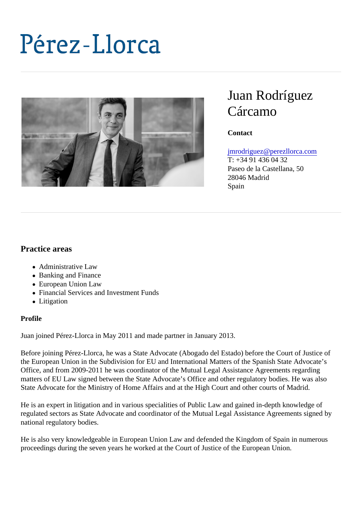# Juan Rodríguez Cárcamo

**Contact** 

[jmrodriguez@perezllorca.co](mailto:jmrodriguez@perezllorca.com)m

T: +34 91 436 04 32 Paseo de la Castellana, 50 28046 Madrid Spain

Practice areas

- Administrative Law
- Banking and Finance
- European Union Law
- Financial Services and Investment Funds
- Litigation

#### Profile

Juan joined Pérez-Llorca in May 2011 and made partner in January 2013.

Before joining Pérez-Llorca, he was a State Advocate (Abogado del Estado) before the Court of Justice of the European Union in the Subdivision for EU and International Matters of the Spanish State Advocate's Office, and from 2009-2011 he was coordinator of the Mutual Legal Assistance Agreements regarding matters of EU Law signed between the State Advocate's Office and other regulatory bodies. He was also State Advocate for the Ministry of Home Affairs and at the High Court and other courts of Madrid.

He is an expert in litigation and in various specialities of Public Law and gained in-depth knowledge of regulated sectors as State Advocate and coordinator of the Mutual Legal Assistance Agreements signed by national regulatory bodies.

He is also very knowledgeable in European Union Law and defended the Kingdom of Spain in numerous proceedings during the seven years he worked at the Court of Justice of the European Union.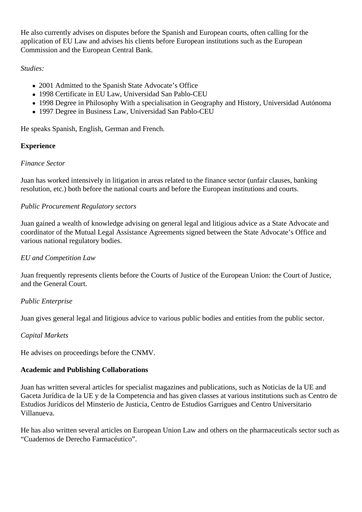He also currently advises on disputes before the Spanish and European courts, often calling for the application of EU Law and advises his clients before European institutions such as the European Commission and the European Central Bank.

## *Studies:*

- 2001 Admitted to the Spanish State Advocate's Office
- 1998 Certificate in EU Law, Universidad San Pablo-CEU
- 1998 Degree in Philosophy With a specialisation in Geography and History, Universidad Autónoma
- 1997 Degree in Business Law, Universidad San Pablo-CEU

He speaks Spanish, English, German and French.

## **Experience**

#### *Finance Sector*

Juan has worked intensively in litigation in areas related to the finance sector (unfair clauses, banking resolution, etc.) both before the national courts and before the European institutions and courts.

## *Public Procurement Regulatory sectors*

Juan gained a wealth of knowledge advising on general legal and litigious advice as a State Advocate and coordinator of the Mutual Legal Assistance Agreements signed between the State Advocate's Office and various national regulatory bodies.

### *EU and Competition Law*

Juan frequently represents clients before the Courts of Justice of the European Union: the Court of Justice, and the General Court.

#### *Public Enterprise*

Juan gives general legal and litigious advice to various public bodies and entities from the public sector.

#### *Capital Markets*

He advises on proceedings before the CNMV.

#### **Academic and Publishing Collaborations**

Juan has written several articles for specialist magazines and publications, such as Noticias de la UE and Gaceta Jurídica de la UE y de la Competencia and has given classes at various institutions such as Centro de Estudios Jurídicos del Minsterio de Justicia, Centro de Estudios Garrigues and Centro Universitario Villanueva.

He has also written several articles on European Union Law and others on the pharmaceuticals sector such as "Cuadernos de Derecho Farmacéutico".